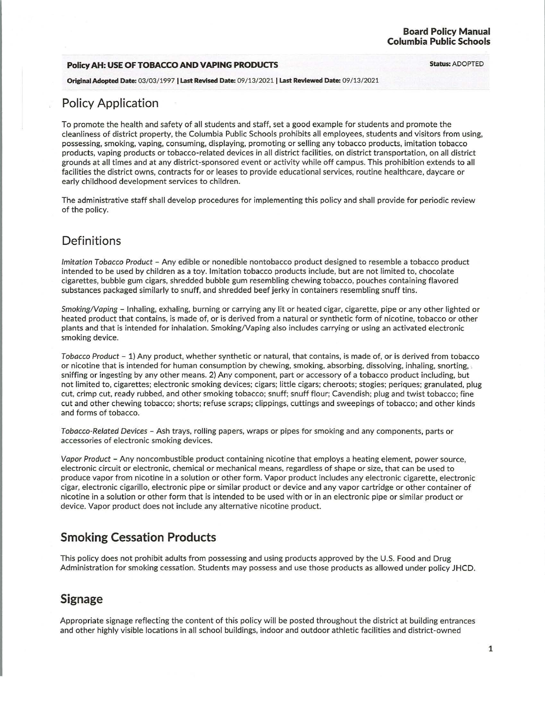#### **Policy AH: USE OF TOBACCO AND VAPING PRODUCTS <b>Status: ADOPTED**

**Original Adopted Date:** 03/03/ 1997 I **Last Revised Date:** 09/ 13/2021 I **Last Reviewed Date:** 09/ 13/2021

#### **Policy Application**

To promote the health and safety of all students and staff, set a good example for students and promote the cleanliness of district property, the Columbia Public Schools prohibits all employees, students and visitors from using, possessing, smoking, vaping, consuming, displaying, promoting or selling any tobacco products, imitation tobacco products, vaping products or tobacco-related devices in all district facilities, on district transportation, on all district grounds at all times and at any district-sponsored event or activity while off campus. This prohibition extends to all facilities the district owns, contracts for or leases to provide educational services, routine healthcare, daycare or early childhood development services to children.

The administrative staff shall develop procedures for implementing this policy and shall provide for periodic review of the policy.

# **Definitions**

Imitation Tobacco Product - Any edible or nonedible nontobacco product designed to resemble a tobacco product intended to be used by children as a toy. Imitation tobacco products include, but are not limited to, chocolate cigarettes, bubble gum cigars, shredded bubble gum resembling chewing tobacco, pouches containing flavored substances packaged similarly to snuff, and shredded beef jerky in containers resembling snuff tins.

Smoking/Vaping - Inhaling, exhaling, burning or carrying any lit or heated cigar, cigarette, pipe or any other lighted or heated product that contains, is made of, or is derived from a natural or synthetic form of nicotine, tobacco or other plants and that is intended for inhalation. Smoking/ Vaping also includes carrying or using an activated electronic smoking device.

Tobacco Product - 1) Any product, whether synthetic or natural, that contains, is made of, or is derived from tobacco or nicotine that is intended for human consumption by chewing, smoking, absorbing, dissolving, inhaling, snorting, . sniffing or ingesting by any other means. 2) Any component, part or accessory of a tobacco product including, but not limited to, cigarettes; electronic smoking devices; cigars; little cigars; cheroots; stogies; periques; granulated, plug cut, crimp cut, ready rubbed, and other smoking tobacco; snuff; snuff flour; Cavendish; plug and twist tobacco; fine cut and other chewing tobacco; shorts; refuse scraps; clippings, cuttings and sweepings of tobacco; and other kinds and forms of tobacco.

Tobacco-Related Devices - Ash trays, rolling papers, wraps or pipes for smoking and any components, parts or accessories of electronic smoking devices.

Vapor Product - Any noncombustible product containing nicotine that employs a heating element, power source, electronic circuit or electronic, chemical or mechanical means, regardless of shape or size, that can be used to produce vapor from nicotine in a solution or other form. Vapor product includes any electronic cigarette, electronic cigar, electronic cigarillo, electronic pipe or similar product or device and any vapor cartridge or other container of nicotine in a solution or other form that is intended to be used with or in an electronic pipe or similar product or device. Vapor product does not include any alternative nicotine product.

# **Smoking Cessation Products**

This policy does not prohibit adults from possessing and using products approved by the U.S. Food and Drug Administration for smoking cessation. Students may possess and use those products as allowed under policy JHCD.

# **Signage**

Appropriate signage reflecting the content of this policy will be posted throughout the district at building entrances and other highly visible locations in all school buildings, indoor and outdoor athletic facilities and district-owned